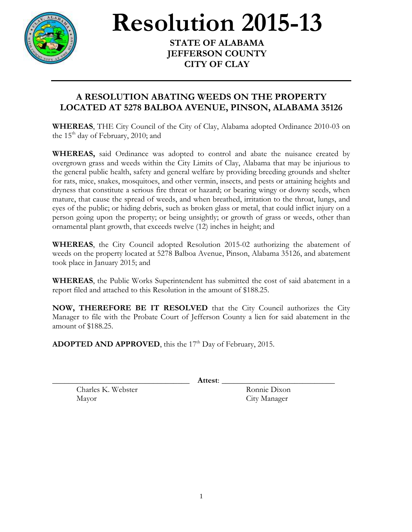

## **Resolution 2015-13**

**STATE OF ALABAMA JEFFERSON COUNTY CITY OF CLAY**

## **A RESOLUTION ABATING WEEDS ON THE PROPERTY LOCATED AT 5278 BALBOA AVENUE, PINSON, ALABAMA 35126**

**WHEREAS**, THE City Council of the City of Clay, Alabama adopted Ordinance 2010-03 on the  $15<sup>th</sup>$  day of February, 2010; and

**WHEREAS,** said Ordinance was adopted to control and abate the nuisance created by overgrown grass and weeds within the City Limits of Clay, Alabama that may be injurious to the general public health, safety and general welfare by providing breeding grounds and shelter for rats, mice, snakes, mosquitoes, and other vermin, insects, and pests or attaining heights and dryness that constitute a serious fire threat or hazard; or bearing wingy or downy seeds, when mature, that cause the spread of weeds, and when breathed, irritation to the throat, lungs, and eyes of the public; or hiding debris, such as broken glass or metal, that could inflict injury on a person going upon the property; or being unsightly; or growth of grass or weeds, other than ornamental plant growth, that exceeds twelve (12) inches in height; and

**WHEREAS**, the City Council adopted Resolution 2015-02 authorizing the abatement of weeds on the property located at 5278 Balboa Avenue, Pinson, Alabama 35126, and abatement took place in January 2015; and

**WHEREAS**, the Public Works Superintendent has submitted the cost of said abatement in a report filed and attached to this Resolution in the amount of \$188.25.

**NOW, THEREFORE BE IT RESOLVED** that the City Council authorizes the City Manager to file with the Probate Court of Jefferson County a lien for said abatement in the amount of \$188.25.

**ADOPTED AND APPROVED**, this the 17<sup>th</sup> Day of February, 2015.

\_\_\_\_\_\_\_\_\_\_\_\_\_\_\_\_\_\_\_\_\_\_\_\_\_\_\_\_\_\_\_\_\_\_ **Attest**: \_\_\_\_\_\_\_\_\_\_\_\_\_\_\_\_\_\_\_\_\_\_\_\_\_\_\_\_

Charles K. Webster Ronnie Dixon Mayor City Manager